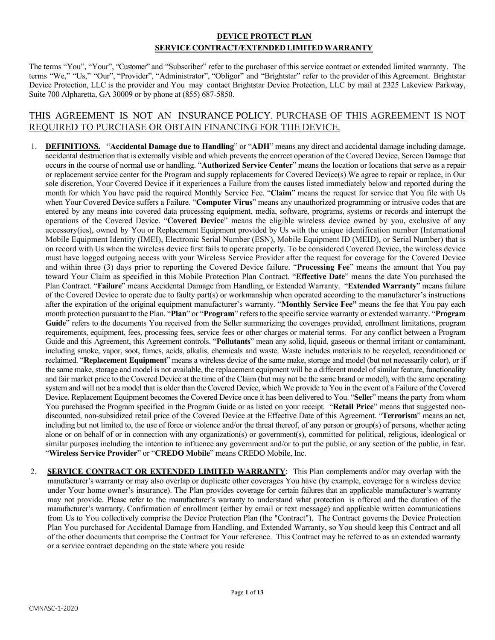# **DEVICE PROTECT PLAN SERVICE CONTRACT/EXTENDED LIMITEDWARRANTY**

The terms "You", "Your", "Customer" and "Subscriber" refer to the purchaser of this service contract or extended limited warranty. The terms "We," "Us," "Our", "Provider", "Administrator", "Obligor" and "Brightstar" refer to the provider of this Agreement. Brightstar Device Protection, LLC is the provider and You may contact Brightstar Device Protection, LLC by mail at 2325 Lakeview Parkway, Suite 700 Alpharetta, GA 30009 or by phone at (855) 687-5850.

## THIS AGREEMENT IS NOT AN INSURANCE POLICY. PURCHASE OF THIS AGREEMENT IS NOT REQUIRED TO PURCHASE OR OBTAIN FINANCING FOR THE DEVICE.

- 1. **DEFINITIONS.** "**Accidental Damage due to Handling**" or "**ADH**" means any direct and accidental damage including damage, accidental destruction that is externally visible and which prevents the correct operation of the Covered Device, Screen Damage that occurs in the course of normal use or handling. "**Authorized Service Center**" means the location or locations that serve as a repair or replacement service center for the Program and supply replacements for Covered Device(s) We agree to repair or replace, in Our sole discretion, Your Covered Device if it experiences a Failure from the causes listed immediately below and reported during the month for which You have paid the required Monthly Service Fee. "**Claim**" means the request for service that You file with Us when Your Covered Device suffers a Failure. "**Computer Virus**" means any unauthorized programming or intrusive codes that are entered by any means into covered data processing equipment, media, software, programs, systems or records and interrupt the operations of the Covered Device. "**Covered Device**" means the eligible wireless device owned by you, exclusive of any accessory(ies), owned by You or Replacement Equipment provided by Us with the unique identification number (International Mobile Equipment Identity (IMEI), Electronic Serial Number (ESN), Mobile Equipment ID (MEID), or Serial Number) that is on record with Us when the wireless device first fails to operate properly. To be considered Covered Device, the wireless device must have logged outgoing access with your Wireless Service Provider after the request for coverage for the Covered Device and within three (3) days prior to reporting the Covered Device failure. "**Processing Fee**" means the amount that You pay toward Your Claim as specified in this Mobile Protection Plan Contract. "**Effective Date**" means the date You purchased the Plan Contract. "**Failure**" means Accidental Damage from Handling, or Extended Warranty. "**Extended Warranty**" means failure of the Covered Device to operate due to faulty part(s) or workmanship when operated according to the manufacturer's instructions after the expiration of the original equipment manufacturer's warranty. "**Monthly Service Fee"** means the fee that You pay each month protection pursuant to the Plan. "**Plan**" or "**Program**" refers to the specific service warranty or extended warranty. "**Program Guide**" refers to the documents You received from the Seller summarizing the coverages provided, enrollment limitations, program requirements, equipment, fees, processing fees, service fees or other charges or material terms. For any conflict between a Program Guide and this Agreement, this Agreement controls. "**Pollutants**" mean any solid, liquid, gaseous or thermal irritant or contaminant, including smoke, vapor, soot, fumes, acids, alkalis, chemicals and waste. Waste includes materials to be recycled, reconditioned or reclaimed. "**Replacement Equipment**" means a wireless device of the same make, storage and model (but not necessarily color), or if the same make, storage and model is not available, the replacement equipment will be a different model of similar feature, functionality and fair market price to the Covered Device at the time of the Claim (but may not be the same brand or model), with the same operating system and will not be a model that is older than the Covered Device, which We provide to You in the event of a Failure of the Covered Device. Replacement Equipment becomes the Covered Device once it has been delivered to You. "**Selle**r" means the party from whom You purchased the Program specified in the Program Guide or as listed on your receipt. "**Retail Price**" means that suggested nondiscounted, non-subsidized retail price of the Covered Device at the Effective Date of this Agreement. "**Terrorism**" means an act, including but not limited to, the use of force or violence and/or the threat thereof, of any person or group(s) of persons, whether acting alone or on behalf of or in connection with any organization(s) or government(s), committed for political, religious, ideological or similar purposes including the intention to influence any government and/or to put the public, or any section of the public, in fear. "**Wireless Service Provider**" or "**CREDO Mobile**" means CREDO Mobile, Inc.
- 2. **SERVICE CONTRACT OR EXTENDED LIMITED WARRANTY**: This Plan complements and/or may overlap with the manufacturer's warranty or may also overlap or duplicate other coverages You have (by example, coverage for a wireless device under Your home owner's insurance). The Plan provides coverage for certain failures that an applicable manufacturer's warranty may not provide. Please refer to the manufacturer's warranty to understand what protection is offered and the duration of the manufacturer's warranty. Confirmation of enrollment (either by email or text message) and applicable written communications from Us to You collectively comprise the Device Protection Plan (the "Contract"). The Contract governs the Device Protection Plan You purchased for Accidental Damage from Handling, and Extended Warranty, so You should keep this Contract and all of the other documents that comprise the Contract for Your reference. This Contract may be referred to as an extended warranty or a service contract depending on the state where you reside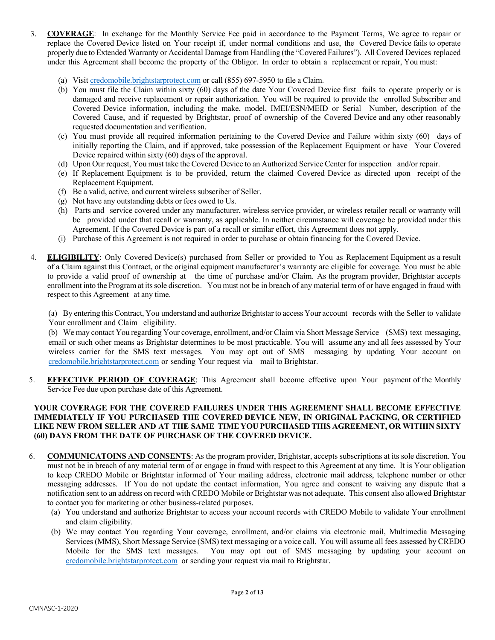- 3. **COVERAGE**: In exchange for the Monthly Service Fee paid in accordance to the Payment Terms, We agree to repair or replace the Covered Device listed on Your receipt if, under normal conditions and use, the Covered Device fails to operate properly due to Extended Warranty or Accidental Damage from Handling (the "Covered Failures"). All Covered Devices replaced under this Agreement shall become the property of the Obligor. In order to obtain a replacement or repair, You must:
	- (a) Visit credomobile.brightstarprotect.com or call (855) 697-5950 to file a Claim.
	- (b) You must file the Claim within sixty (60) days of the date Your Covered Device first fails to operate properly or is damaged and receive replacement or repair authorization. You will be required to provide the enrolled Subscriber and Covered Device information, including the make, model, IMEI/ESN/MEID or Serial Number, description of the Covered Cause, and if requested by Brightstar, proof of ownership of the Covered Device and any other reasonably requested documentation and verification.
	- (c) You must provide all required information pertaining to the Covered Device and Failure within sixty (60) days of initially reporting the Claim, and if approved, take possession of the Replacement Equipment or have Your Covered Device repaired within sixty (60) days of the approval.
	- (d) Upon Our request, You must take the Covered Device to an Authorized Service Center for inspection and/or repair.
	- (e) If Replacement Equipment is to be provided, return the claimed Covered Device as directed upon receipt of the Replacement Equipment.
	- (f) Be a valid, active, and current wireless subscriber of Seller.
	- (g) Not have any outstanding debts or fees owed to Us.
	- (h) Parts and service covered under any manufacturer, wireless service provider, or wireless retailer recall or warranty will be provided under that recall or warranty, as applicable. In neither circumstance will coverage be provided under this Agreement. If the Covered Device is part of a recall or similar effort, this Agreement does not apply.
	- (i) Purchase of this Agreement is not required in order to purchase or obtain financing for the Covered Device.
- 4. **ELIGIBILITY**: Only Covered Device(s) purchased from Seller or provided to You as Replacement Equipment as a result of a Claim against this Contract, or the original equipment manufacturer's warranty are eligible for coverage. You must be able to provide a valid proof of ownership at the time of purchase and/or Claim. As the program provider, Brightstar accepts enrollment into the Program at itssole discretion. You must not be in breach of any material term of or have engaged in fraud with respect to this Agreement at any time.

(a) By entering this Contract, You understand and authorize Brightstar to access Your account records with the Seller to validate Your enrollment and Claim eligibility.

(b) We may contact You regarding Your coverage, enrollment, and/or Claim via Short Message Service (SMS) text messaging, email or such other means as Brightstar determines to be most practicable. You will assume any and all fees assessed by Your wireless carrier for the SMS text messages. You may opt out of SMS messaging by updating Your account on credomobile.brightstarprotect.com or sending Your request via mail to Brightstar.

5. **EFFECTIVE PERIOD OF COVERAGE**: This Agreement shall become effective upon Your payment of the Monthly Service Fee due upon purchase date of this Agreement.

#### **YOUR COVERAGE FOR THE COVERED FAILURES UNDER THIS AGREEMENT SHALL BECOME EFFECTIVE IMMEDIATELY IF YOU PURCHASED THE COVERED DEVICE NEW, IN ORIGINAL PACKING, OR CERTIFIED LIKE NEW FROM SELLER AND AT THE SAME TIME YOU PURCHASED THIS AGREEMENT, OR WITHIN SIXTY (60) DAYS FROM THE DATE OF PURCHASE OF THE COVERED DEVICE.**

- 6. **COMMUNICATOINS AND CONSENTS**: As the program provider, Brightstar, accepts subscriptions at its sole discretion. You must not be in breach of any material term of or engage in fraud with respect to this Agreement at any time. It is Your obligation to keep CREDO Mobile or Brightstar informed of Your mailing address, electronic mail address, telephone number or other messaging addresses. If You do not update the contact information, You agree and consent to waiving any dispute that a notification sent to an address on record with CREDO Mobile or Brightstar was not adequate. This consent also allowed Brightstar to contact you for marketing or other business-related purposes.
	- (a) You understand and authorize Brightstar to access your account records with CREDO Mobile to validate Your enrollment and claim eligibility.
	- (b) We may contact You regarding Your coverage, enrollment, and/or claims via electronic mail, Multimedia Messaging Services (MMS), Short Message Service (SMS) text messaging or a voice call. You will assume all fees assessed by CREDO Mobile for the SMS text messages. You may opt out of SMS messaging by updating your account on credomobile.brightstarprotect.com or sending your request via mail to Brightstar.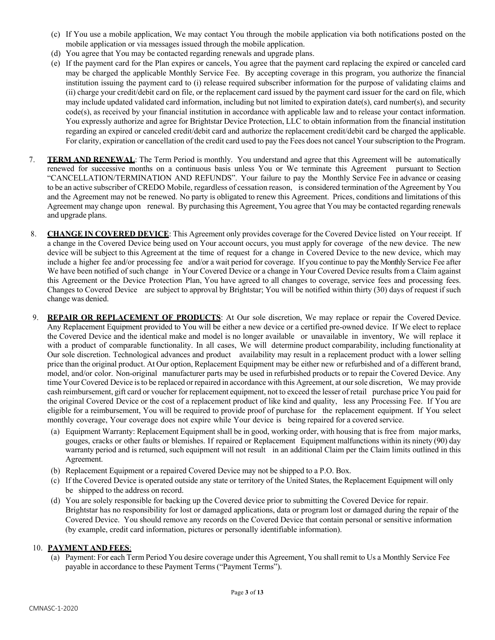- (c) If You use a mobile application, We may contact You through the mobile application via both notifications posted on the mobile application or via messages issued through the mobile application.
- (d) You agree that You may be contacted regarding renewals and upgrade plans.
- (e) If the payment card for the Plan expires or cancels, You agree that the payment card replacing the expired or canceled card may be charged the applicable Monthly Service Fee. By accepting coverage in this program, you authorize the financial institution issuing the payment card to (i) release required subscriber information for the purpose of validating claims and (ii) charge your credit/debit card on file, or the replacement card issued by the payment card issuer for the card on file, which may include updated validated card information, including but not limited to expiration date(s), card number(s), and security code(s), as received by your financial institution in accordance with applicable law and to release your contact information. You expressly authorize and agree for Brightstar Device Protection, LLC to obtain information from the financial institution regarding an expired or canceled credit/debit card and authorize the replacement credit/debit card be charged the applicable. For clarity, expiration or cancellation of the credit card used to pay the Fees does not cancel Your subscription to the Program.
- 7. **TERM AND RENEWAL**: The Term Period is monthly. You understand and agree that this Agreement will be automatically renewed for successive months on a continuous basis unless You or We terminate this Agreement pursuant to Section "CANCELLATION/TERMINATION AND REFUNDS". Your failure to pay the Monthly Service Fee in advance or ceasing to be an active subscriber of CREDO Mobile, regardless of cessation reason, is considered termination of the Agreement by You and the Agreement may not be renewed. No party is obligated to renew this Agreement. Prices, conditions and limitations of this Agreement may change upon renewal. By purchasing this Agreement, You agree that You may be contacted regarding renewals and upgrade plans.
- 8. **CHANGE IN COVERED DEVICE**: This Agreement only provides coverage for the Covered Device listed on Your receipt. If a change in the Covered Device being used on Your account occurs, you must apply for coverage of the new device. The new device will be subject to this Agreement at the time of request for a change in Covered Device to the new device, which may include a higher fee and/or processing fee and/or a wait period for coverage. If you continue to pay the Monthly Service Fee after We have been notified of such change in Your Covered Device or a change in Your Covered Device results from a Claim against this Agreement or the Device Protection Plan, You have agreed to all changes to coverage, service fees and processing fees. Changes to Covered Device are subject to approval by Brightstar; You will be notified within thirty (30) days of request if such change was denied.
- 9. **REPAIR OR REPLACEMENT OF PRODUCTS**: At Our sole discretion, We may replace or repair the Covered Device. Any Replacement Equipment provided to You will be either a new device or a certified pre-owned device. If We elect to replace the Covered Device and the identical make and model is no longer available or unavailable in inventory, We will replace it with a product of comparable functionality. In all cases, We will determine product comparability, including functionality at Our sole discretion. Technological advances and product availability may result in a replacement product with a lower selling price than the original product. At Our option, Replacement Equipment may be either new or refurbished and of a different brand, model, and/or color. Non-original manufacturer parts may be used in refurbished products or to repair the Covered Device. Any time Your Covered Device isto be replaced or repaired in accordance with this Agreement, at oursole discretion, We may provide cash reimbursement, gift card or voucher for replacement equipment, not to exceed the lesser of retail purchase price You paid for the original Covered Device or the cost of a replacement product of like kind and quality, less any Processing Fee. If You are eligible for a reimbursement, You will be required to provide proof of purchase for the replacement equipment. If You select monthly coverage, Your coverage does not expire while Your device is being repaired for a covered service.
	- (a) Equipment Warranty: Replacement Equipment shall be in good, working order, with housing that is free from major marks, gouges, cracks or other faults or blemishes. If repaired or Replacement Equipment malfunctions within its ninety (90) day warranty period and is returned, such equipment will not result in an additional Claim per the Claim limits outlined in this Agreement.
	- (b) Replacement Equipment or a repaired Covered Device may not be shipped to a P.O. Box.
	- (c) If the Covered Device is operated outside any state or territory of the United States, the Replacement Equipment will only be shipped to the address on record.
	- (d) You are solely responsible for backing up the Covered device prior to submitting the Covered Device for repair. Brightstar has no responsibility for lost or damaged applications, data or program lost or damaged during the repair of the Covered Device. You should remove any records on the Covered Device that contain personal or sensitive information (by example, credit card information, pictures or personally identifiable information).

#### 10. **PAYMENT AND FEES**:

(a) Payment: For each Term Period You desire coverage under this Agreement, You shall remit to Us a Monthly Service Fee payable in accordance to these Payment Terms ("Payment Terms").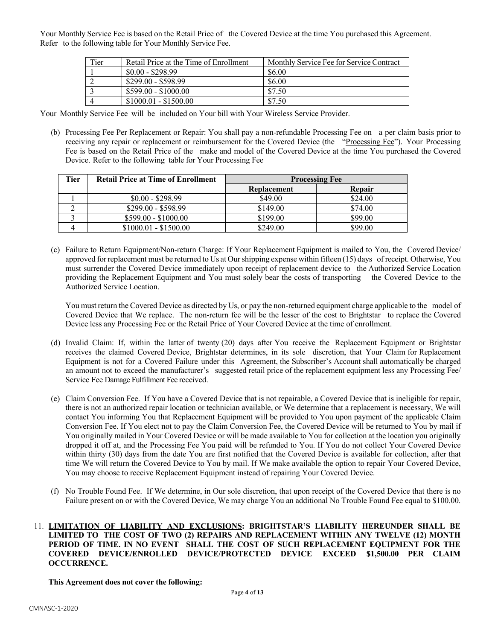Your Monthly Service Fee is based on the Retail Price of the Covered Device at the time You purchased this Agreement. Refer to the following table for Your Monthly Service Fee.

| Tier | Retail Price at the Time of Enrollment | Monthly Service Fee for Service Contract |
|------|----------------------------------------|------------------------------------------|
|      | $$0.00 - $298.99$                      | \$6.00                                   |
|      | $$299.00 - $598.99$                    | \$6.00                                   |
|      | $$599.00 - $1000.00$                   | \$7.50                                   |
|      | $$1000.01 - $1500.00$                  | \$7.50                                   |

Your Monthly Service Fee will be included on Your bill with Your Wireless Service Provider.

(b) Processing Fee Per Replacement or Repair: You shall pay a non-refundable Processing Fee on a per claim basis prior to receiving any repair or replacement or reimbursement for the Covered Device (the "Processing Fee"). Your Processing Fee is based on the Retail Price of the make and model of the Covered Device at the time You purchased the Covered Device. Refer to the following table for Your Processing Fee

| Tier | <b>Retail Price at Time of Enrollment</b> | <b>Processing Fee</b> |               |
|------|-------------------------------------------|-----------------------|---------------|
|      |                                           | Replacement           | <b>Repair</b> |
|      | $$0.00 - $298.99$                         | \$49.00               | \$24.00       |
|      | $$299.00 - $598.99$                       | \$149.00              | \$74.00       |
|      | $$599.00 - $1000.00$                      | \$199.00              | \$99.00       |
|      | $$1000.01 - $1500.00$                     | \$249.00              | \$99.00       |

(c) Failure to Return Equipment/Non-return Charge: If Your Replacement Equipment is mailed to You, the Covered Device/ approved forreplacement must be returned to Us at Ourshipping expense within fifteen (15) days of receipt. Otherwise, You must surrender the Covered Device immediately upon receipt of replacement device to the Authorized Service Location providing the Replacement Equipment and You must solely bear the costs of transporting the Covered Device to the Authorized Service Location.

You must return the Covered Device as directed by Us, or pay the non-returned equipment charge applicable to the model of Covered Device that We replace. The non-return fee will be the lesser of the cost to Brightstar to replace the Covered Device less any Processing Fee or the Retail Price of Your Covered Device at the time of enrollment.

- (d) Invalid Claim: If, within the latter of twenty (20) days after You receive the Replacement Equipment or Brightstar receives the claimed Covered Device, Brightstar determines, in its sole discretion, that Your Claim for Replacement Equipment is not for a Covered Failure under this Agreement, the Subscriber's Account shall automatically be charged an amount not to exceed the manufacturer's suggested retail price of the replacement equipment less any Processing Fee/ Service Fee Damage Fulfillment Fee received.
- (e) Claim Conversion Fee. If You have a Covered Device that is not repairable, a Covered Device that is ineligible for repair, there is not an authorized repair location or technician available, or We determine that a replacement is necessary, We will contact You informing You that Replacement Equipment will be provided to You upon payment of the applicable Claim Conversion Fee. If You elect not to pay the Claim Conversion Fee, the Covered Device will be returned to You by mail if You originally mailed in Your Covered Device or will be made available to You for collection at the location you originally dropped it off at, and the Processing Fee You paid will be refunded to You. If You do not collect Your Covered Device within thirty (30) days from the date You are first notified that the Covered Device is available for collection, after that time We will return the Covered Device to You by mail. If We make available the option to repair Your Covered Device, You may choose to receive Replacement Equipment instead of repairing Your Covered Device.
- (f) No Trouble Found Fee. If We determine, in Our sole discretion, that upon receipt of the Covered Device that there is no Failure present on or with the Covered Device, We may charge You an additional No Trouble Found Fee equal to \$100.00.
- 11. **LIMITATION OF LIABILITY AND EXCLUSIONS: BRIGHTSTAR'S LIABILITY HEREUNDER SHALL BE LIMITED TO THE COST OF TWO (2) REPAIRS AND REPLACEMENT WITHIN ANY TWELVE (12) MONTH PERIOD OF TIME. IN NO EVENT SHALL THE COST OF SUCH REPLACEMENT EQUIPMENT FOR THE COVERED DEVICE/ENROLLED DEVICE/PROTECTED DEVICE EXCEED \$1,500.00 PER CLAIM OCCURRENCE.**

**This Agreement does not cover the following:**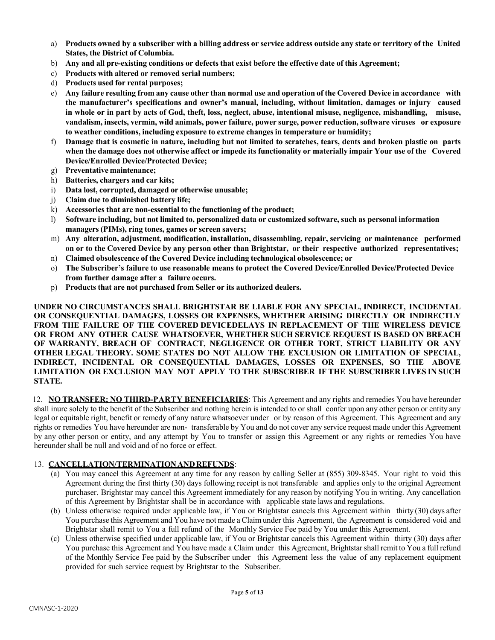- a) Products owned by a subscriber with a billing address or service address outside any state or territory of the United **States, the District of Columbia.**
- b) **Any and all pre-existing conditions or defects that exist before the effective date of this Agreement;**
- c) **Products with altered or removed serial numbers;**
- d) **Products used for rental purposes;**
- e) Any failure resulting from any cause other than normal use and operation of the Covered Device in accordance with **the manufacturer's specifications and owner's manual, including, without limitation, damages or injury caused** in whole or in part by acts of God, theft, loss, neglect, abuse, intentional misuse, negligence, mishandling, misuse, **vandalism, insects, vermin, wild animals, power failure, power surge, power reduction, software viruses or exposure to weather conditions, including exposure to extreme changes in temperature or humidity;**
- f) Damage that is cosmetic in nature, including but not limited to scratches, tears, dents and broken plastic on parts when the damage does not otherwise affect or impede its functionality or materially impair Your use of the Covered **Device/Enrolled Device/Protected Device;**
- g) **Preventative maintenance;**
- h) **Batteries, chargers and car kits;**
- i) **Data lost, corrupted, damaged or otherwise unusable;**
- j) **Claim due to diminished battery life;**
- k) **Accessories that are non-essential to the functioning of the product;**
- l) **Software including, but not limited to, personalized data or customized software, such as personal information managers (PIMs), ring tones, games or screen savers;**
- m) **Any alteration, adjustment, modification, installation, disassembling, repair, servicing or maintenance performed on or to the Covered Device by any person other than Brightstar, or their respective authorized representatives;**
- n) **Claimed obsolescence of the Covered Device including technological obsolescence; or**
- o) **The Subscriber's failure to use reasonable means to protect the Covered Device/Enrolled Device/Protected Device from further damage after a failure occurs.**
- p) **Products that are not purchased from Seller or its authorized dealers.**

**UNDER NO CIRCUMSTANCES SHALL BRIGHTSTAR BE LIABLE FOR ANY SPECIAL, INDIRECT, INCIDENTAL OR CONSEQUENTIAL DAMAGES, LOSSES OR EXPENSES, WHETHER ARISING DIRECTLY OR INDIRECTLY FROM THE FAILURE OF THE COVERED DEVICEDELAYS IN REPLACEMENT OF THE WIRELESS DEVICE OR FROM ANY OTHER CAUSE WHATSOEVER, WHETHER SUCH SERVICE REQUEST IS BASED ON BREACH OF WARRANTY, BREACH OF CONTRACT, NEGLIGENCE OR OTHER TORT, STRICT LIABILITY OR ANY OTHER LEGAL THEORY. SOME STATES DO NOT ALLOW THE EXCLUSION OR LIMITATION OF SPECIAL, INDIRECT, INCIDENTAL OR CONSEQUENTIAL DAMAGES, LOSSES OR EXPENSES, SO THE ABOVE LIMITATION OR EXCLUSION MAY NOT APPLY TO THE SUBSCRIBER IF THE SUBSCRIBER LIVES IN SUCH STATE.**

12. **NO TRANSFER; NO THIRD-PARTY BENEFICIARIES**: This Agreement and any rights and remedies You have hereunder shall inure solely to the benefit of the Subscriber and nothing herein is intended to or shall confer upon any other person or entity any legal or equitable right, benefit or remedy of any nature whatsoever under or by reason of this Agreement. This Agreement and any rights or remedies You have hereunder are non- transferable by You and do not cover any service request made under this Agreement by any other person or entity, and any attempt by You to transfer or assign this Agreement or any rights or remedies You have hereunder shall be null and void and of no force or effect.

#### 13. **CANCELLATION/TERMINATIONANDREFUNDS**:

- (a) You may cancel this Agreement at any time for any reason by calling Seller at (855) 309-8345. Your right to void this Agreement during the first thirty (30) days following receipt is not transferable and applies only to the original Agreement purchaser. Brightstar may cancel this Agreement immediately for any reason by notifying You in writing. Any cancellation of this Agreement by Brightstar shall be in accordance with applicable state laws and regulations.
- (b) Unless otherwise required under applicable law, if You or Brightstar cancels this Agreement within thirty (30) days after You purchase this Agreement and You have not made a Claim under this Agreement, the Agreement is considered void and Brightstar shall remit to You a full refund of the Monthly Service Fee paid by You under this Agreement.
- (c) Unless otherwise specified under applicable law, if You or Brightstar cancels this Agreement within thirty (30) days after You purchase this Agreement and You have made a Claim under this Agreement, Brightstarshall remit to You a full refund of the Monthly Service Fee paid by the Subscriber under this Agreement less the value of any replacement equipment provided for such service request by Brightstar to the Subscriber.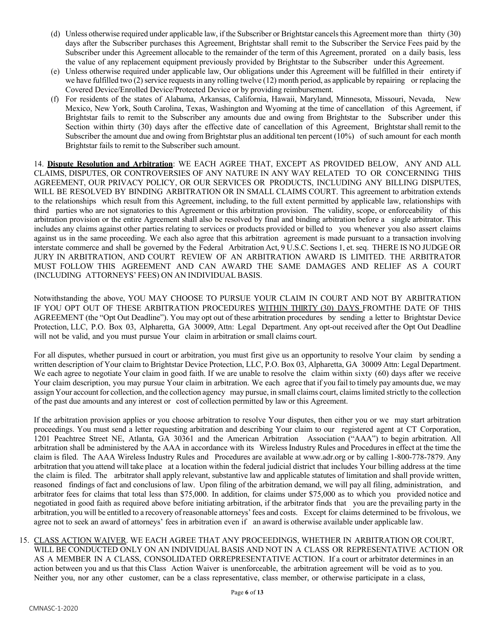- (d) Unless otherwise required under applicable law, if the Subscriber or Brightstar cancelsthis Agreement more than thirty (30) days after the Subscriber purchases this Agreement, Brightstar shall remit to the Subscriber the Service Fees paid by the Subscriber under this Agreement allocable to the remainder of the term of this Agreement, prorated on a daily basis, less the value of any replacement equipment previously provided by Brightstar to the Subscriber under this Agreement.
- (e) Unless otherwise required under applicable law, Our obligations under this Agreement will be fulfilled in their entirety if we have fulfilled two (2) service requests in any rolling twelve (12) month period, as applicable by repairing or replacing the Covered Device/Enrolled Device/Protected Device or by providing reimbursement.
- (f) For residents of the states of Alabama, Arkansas, California, Hawaii, Maryland, Minnesota, Missouri, Nevada, New Mexico, New York, South Carolina, Texas, Washington and Wyoming at the time of cancellation of this Agreement, if Brightstar fails to remit to the Subscriber any amounts due and owing from Brightstar to the Subscriber under this Section within thirty (30) days after the effective date of cancellation of this Agreement, Brightstarshall remit to the Subscriber the amount due and owing from Brightstar plus an additional ten percent (10%) of such amount for each month Brightstar fails to remit to the Subscriber such amount.

14. **Dispute Resolution and Arbitration**: WE EACH AGREE THAT, EXCEPT AS PROVIDED BELOW, ANY AND ALL CLAIMS, DISPUTES, OR CONTROVERSIES OF ANY NATURE IN ANY WAY RELATED TO OR CONCERNING THIS AGREEMENT, OUR PRIVACY POLICY, OR OUR SERVICES OR PRODUCTS, INCLUDING ANY BILLING DISPUTES, WILL BE RESOLVED BY BINDING ARBITRATION OR IN SMALL CLAIMS COURT. This agreement to arbitration extends to the relationships which result from this Agreement, including, to the full extent permitted by applicable law, relationships with third parties who are not signatories to this Agreement or this arbitration provision. The validity, scope, or enforceability of this arbitration provision or the entire Agreement shall also be resolved by final and binding arbitration before a single arbitrator. This includes any claims against other parties relating to services or products provided or billed to you whenever you also assert claims against us in the same proceeding. We each also agree that this arbitration agreement is made pursuant to a transaction involving interstate commerce and shall be governed by the Federal Arbitration Act, 9 U.S.C. Sections 1, et. seq. THERE IS NO JUDGE OR JURY IN ARBITRATION, AND COURT REVIEW OF AN ARBITRATION AWARD IS LIMITED. THE ARBITRATOR MUST FOLLOW THIS AGREEMENT AND CAN AWARD THE SAME DAMAGES AND RELIEF AS A COURT (INCLUDING ATTORNEYS' FEES) ON AN INDIVIDUAL BASIS.

Notwithstanding the above, YOU MAY CHOOSE TO PURSUE YOUR CLAIM IN COURT AND NOT BY ARBITRATION IF YOU OPT OUT OF THESE ARBITRATION PROCEDURES WITHIN THIRTY (30) DAYS FROMTHE DATE OF THIS AGREEMENT (the "Opt Out Deadline"). You may opt out of these arbitration procedures by sending a letter to Brightstar Device Protection, LLC, P.O. Box 03, Alpharetta, GA 30009, Attn: Legal Department. Any opt-out received after the Opt Out Deadline will not be valid, and you must pursue Your claim in arbitration or small claims court.

For all disputes, whether pursued in court or arbitration, you must first give us an opportunity to resolve Your claim by sending a written description of Your claim to Brightstar Device Protection, LLC, P.O. Box 03, Alpharetta, GA 30009 Attn: Legal Department. We each agree to negotiate Your claim in good faith. If we are unable to resolve the claim within sixty (60) days after we receive Your claim description, you may pursue Your claim in arbitration. We each agree that if you fail to timely pay amounts due, we may assign Your account for collection, and the collection agency may pursue, in small claims court, claimslimited strictly to the collection of the past due amounts and any interest or cost of collection permitted by law or this Agreement.

If the arbitration provision applies or you choose arbitration to resolve Your disputes, then either you or we may start arbitration proceedings. You must send a letter requesting arbitration and describing Your claim to our registered agent at CT Corporation, 1201 Peachtree Street NE, Atlanta, GA 30361 and the American Arbitration Association ("AAA") to begin arbitration. All arbitration shall be administered by the AAA in accordance with its Wireless Industry Rules and Procedures in effect at the time the claim is filed. The AAA Wireless Industry Rules and Procedures are available at www.adr.org or by calling 1-800-778-7879. Any arbitration that you attend will take place at a location within the federal judicial district that includes Your billing address at the time the claim is filed. The arbitrator shall apply relevant, substantive law and applicable statutes of limitation and shall provide written, reasoned findings of fact and conclusions of law. Upon filing of the arbitration demand, we will pay all filing, administration, and arbitrator fees for claims that total less than \$75,000. In addition, for claims under \$75,000 as to which you provided notice and negotiated in good faith as required above before initiating arbitration, if the arbitrator finds that you are the prevailing party in the arbitration, you will be entitled to a recovery of reasonable attorneys' fees and costs. Except for claims determined to be frivolous, we agree not to seek an award of attorneys' fees in arbitration even if an award is otherwise available under applicable law.

15. CLASS ACTION WAIVER. WE EACH AGREE THAT ANY PROCEEDINGS, WHETHER IN ARBITRATION OR COURT, WILL BE CONDUCTED ONLY ON AN INDIVIDUAL BASIS AND NOT IN A CLASS OR REPRESENTATIVE ACTION OR AS A MEMBER IN A CLASS, CONSOLIDATED ORREPRESENTATIVE ACTION. If a court or arbitrator determines in an action between you and us that this Class Action Waiver is unenforceable, the arbitration agreement will be void as to you. Neither you, nor any other customer, can be a class representative, class member, or otherwise participate in a class,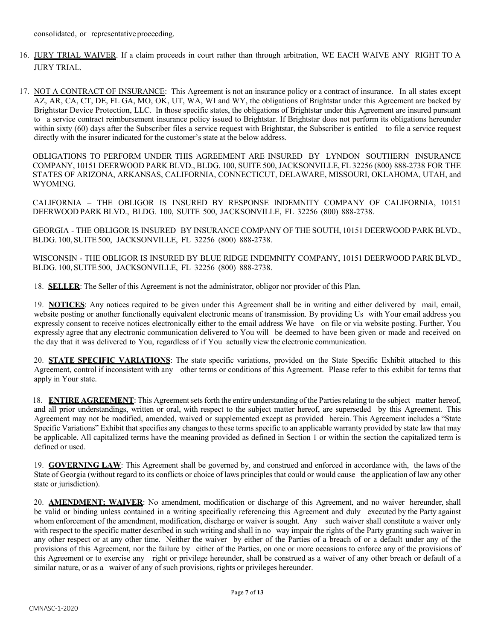- 16. JURY TRIAL WAIVER. If a claim proceeds in court rather than through arbitration, WE EACH WAIVE ANY RIGHT TO A JURY TRIAL.
- 17. NOT A CONTRACT OF INSURANCE: This Agreement is not an insurance policy or a contract of insurance. In all states except AZ, AR, CA, CT, DE, FL GA, MO, OK, UT, WA, WI and WY, the obligations of Brightstar under this Agreement are backed by Brightstar Device Protection, LLC. In those specific states, the obligations of Brightstar under this Agreement are insured pursuant to a service contract reimbursement insurance policy issued to Brightstar. If Brightstar does not perform its obligations hereunder within sixty (60) days after the Subscriber files a service request with Brightstar, the Subscriber is entitled to file a service request directly with the insurer indicated for the customer's state at the below address.

OBLIGATIONS TO PERFORM UNDER THIS AGREEMENT ARE INSURED BY LYNDON SOUTHERN INSURANCE COMPANY, 10151 DEERWOOD PARK BLVD., BLDG. 100, SUITE 500, JACKSONVILLE, FL 32256 (800) 888-2738 FOR THE STATES OF ARIZONA, ARKANSAS, CALIFORNIA, CONNECTICUT, DELAWARE, MISSOURI, OKLAHOMA, UTAH, and WYOMING.

CALIFORNIA – THE OBLIGOR IS INSURED BY RESPONSE INDEMNITY COMPANY OF CALIFORNIA, 10151 DEERWOOD PARK BLVD., BLDG. 100, SUITE 500, JACKSONVILLE, FL 32256 (800) 888-2738.

GEORGIA - THE OBLIGOR IS INSURED BY INSURANCE COMPANY OF THE SOUTH, 10151 DEERWOOD PARK BLVD., BLDG. 100, SUITE 500, JACKSONVILLE, FL 32256 (800) 888-2738.

WISCONSIN - THE OBLIGOR IS INSURED BY BLUE RIDGE INDEMNITY COMPANY, 10151 DEERWOOD PARK BLVD., BLDG. 100, SUITE 500, JACKSONVILLE, FL 32256 (800) 888-2738.

18. **SELLER**: The Seller of this Agreement is not the administrator, obligor nor provider of this Plan.

19. **NOTICES**: Any notices required to be given under this Agreement shall be in writing and either delivered by mail, email, website posting or another functionally equivalent electronic means of transmission. By providing Us with Your email address you expressly consent to receive notices electronically either to the email address We have on file or via website posting. Further, You expressly agree that any electronic communication delivered to You will be deemed to have been given or made and received on the day that it was delivered to You, regardless of if You actually view the electronic communication.

20. **STATE SPECIFIC VARIATIONS**: The state specific variations, provided on the State Specific Exhibit attached to this Agreement, control if inconsistent with any other terms or conditions of this Agreement. Please refer to this exhibit for terms that apply in Your state.

18. **ENTIRE AGREEMENT**: This Agreement sets forth the entire understanding of the Parties relating to the subject matter hereof, and all prior understandings, written or oral, with respect to the subject matter hereof, are superseded by this Agreement. This Agreement may not be modified, amended, waived or supplemented except as provided herein. This Agreement includes a "State Specific Variations" Exhibit that specifies any changes to these terms specific to an applicable warranty provided by state law that may be applicable. All capitalized terms have the meaning provided as defined in Section 1 or within the section the capitalized term is defined or used.

19. **GOVERNING LAW**: This Agreement shall be governed by, and construed and enforced in accordance with, the laws of the State of Georgia (without regard to its conflicts or choice of laws principles that could or would cause the application of law any other state or jurisdiction).

20. **AMENDMENT; WAIVER**: No amendment, modification or discharge of this Agreement, and no waiver hereunder, shall be valid or binding unless contained in a writing specifically referencing this Agreement and duly executed by the Party against whom enforcement of the amendment, modification, discharge or waiver is sought. Any such waiver shall constitute a waiver only with respect to the specific matter described in such writing and shall in no way impair the rights of the Party granting such waiver in any other respect or at any other time. Neither the waiver by either of the Parties of a breach of or a default under any of the provisions of this Agreement, nor the failure by either of the Parties, on one or more occasions to enforce any of the provisions of this Agreement or to exercise any right or privilege hereunder, shall be construed as a waiver of any other breach or default of a similar nature, or as a waiver of any of such provisions, rights or privileges hereunder.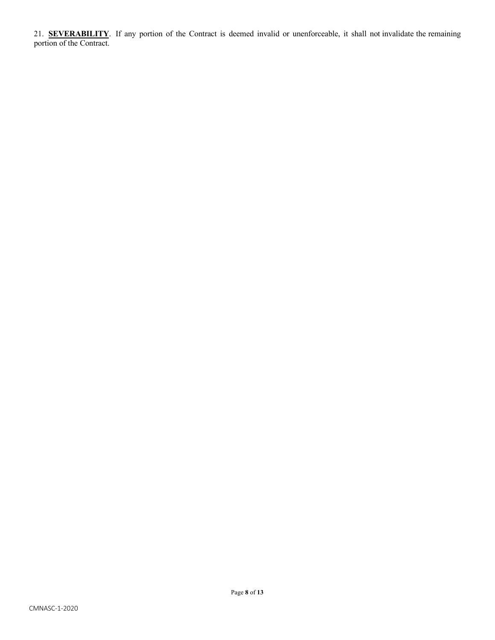21. **SEVERABILITY**. If any portion of the Contract is deemed invalid or unenforceable, it shall not invalidate the remaining portion of the Contract.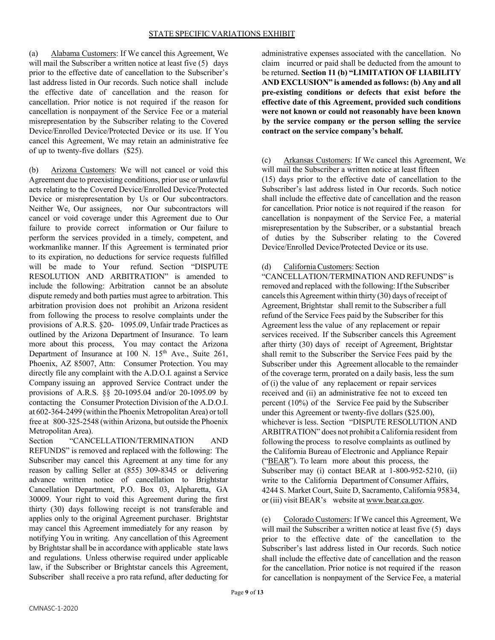(a) Alabama Customers: If We cancel this Agreement, We will mail the Subscriber a written notice at least five (5) days prior to the effective date of cancellation to the Subscriber's last address listed in Our records. Such notice shall include the effective date of cancellation and the reason for cancellation. Prior notice is not required if the reason for cancellation is nonpayment of the Service Fee or a material misrepresentation by the Subscriber relating to the Covered Device/Enrolled Device/Protected Device or its use. If You cancel this Agreement, We may retain an administrative fee of up to twenty-five dollars (\$25).

(b) Arizona Customers: We will not cancel or void this Agreement due to preexisting conditions, prior use or unlawful acts relating to the Covered Device/Enrolled Device/Protected Device or misrepresentation by Us or Our subcontractors. Neither We, Our assignees, nor Our subcontractors will cancel or void coverage under this Agreement due to Our failure to provide correct information or Our failure to perform the services provided in a timely, competent, and workmanlike manner. If this Agreement is terminated prior to its expiration, no deductions for service requests fulfilled will be made to Your refund. Section "DISPUTE RESOLUTION AND ARBITRATION" is amended to include the following: Arbitration cannot be an absolute dispute remedy and both parties must agree to arbitration. This arbitration provision does not prohibit an Arizona resident from following the process to resolve complaints under the provisions of A.R.S. §20- 1095.09, Unfair trade Practices as outlined by the Arizona Department of Insurance. To learn more about this process, You may contact the Arizona Department of Insurance at 100 N.  $15<sup>th</sup>$  Ave., Suite 261, Phoenix, AZ 85007, Attn: Consumer Protection. You may directly file any complaint with the A.D.O.I. against a Service Company issuing an approved Service Contract under the provisions of A.R.S. §§ 20-1095.04 and/or 20-1095.09 by contacting the Consumer Protection Division of the A.D.O.I. at 602-364-2499 (within the Phoenix Metropolitan Area) ortoll free at 800-325-2548 (within Arizona, but outside the Phoenix Metropolitan Area).

Section "CANCELLATION/TERMINATION AND REFUNDS" is removed and replaced with the following: The Subscriber may cancel this Agreement at any time for any reason by calling Seller at (855) 309-8345 or delivering advance written notice of cancellation to Brightstar Cancellation Department, P.O. Box 03, Alpharetta, GA 30009. Your right to void this Agreement during the first thirty (30) days following receipt is not transferable and applies only to the original Agreement purchaser. Brightstar may cancel this Agreement immediately for any reason by notifying You in writing. Any cancellation of this Agreement by Brightstar shall be in accordance with applicable state laws and regulations. Unless otherwise required under applicable law, if the Subscriber or Brightstar cancels this Agreement, Subscriber shall receive a pro rata refund, after deducting for

administrative expenses associated with the cancellation. No claim incurred or paid shall be deducted from the amount to be returned. **Section 11 (b) "LIMITATION OF LIABILITY AND EXCLUSION" is amended as follows: (b) Any and all pre-existing conditions or defects that exist before the effective date of this Agreement, provided such conditions were not known or could not reasonably have been known by the service company or the person selling the service contract on the service company's behalf.**

(c) Arkansas Customers: If We cancel this Agreement, We will mail the Subscriber a written notice at least fifteen (15) days prior to the effective date of cancellation to the Subscriber's last address listed in Our records. Such notice shall include the effective date of cancellation and the reason for cancellation. Prior notice is not required if the reason for cancellation is nonpayment of the Service Fee, a material misrepresentation by the Subscriber, or a substantial breach of duties by the Subscriber relating to the Covered Device/Enrolled Device/Protected Device or its use.

### (d) CaliforniaCustomers: Section

"CANCELLATION/TERMINATION AND REFUNDS" is removed and replaced with the following: If the Subscriber cancels this Agreement within thirty (30) days of receipt of Agreement, Brightstar shall remit to the Subscriber a full refund of the Service Fees paid by the Subscriber for this Agreement less the value of any replacement or repair services received. If the Subscriber cancels this Agreement after thirty (30) days of receipt of Agreement, Brightstar shall remit to the Subscriber the Service Fees paid by the Subscriber under this Agreement allocable to the remainder of the coverage term, prorated on a daily basis, less the sum of (i) the value of any replacement or repair services received and (ii) an administrative fee not to exceed ten percent (10%) of the Service Fee paid by the Subscriber under this Agreement or twenty-five dollars (\$25.00), whichever is less. Section "DISPUTE RESOLUTION AND ARBITRATION" does not prohibit a California resident from following the process to resolve complaints as outlined by the California Bureau of Electronic and Appliance Repair ("BEAR"). To learn more about this process, the Subscriber may (i) contact BEAR at 1-800-952-5210, (ii) write to the California Department of Consumer Affairs, 4244 S. Market Court, Suite D, Sacramento, California 95834, or (iii) visit BEAR's website at www.bear.ca.gov.

(e) Colorado Customers: If We cancel this Agreement, We will mail the Subscriber a written notice at least five (5) days prior to the effective date of the cancellation to the Subscriber's last address listed in Our records. Such notice shall include the effective date of cancellation and the reason for the cancellation. Prior notice is not required if the reason for cancellation is nonpayment of the Service Fee, a material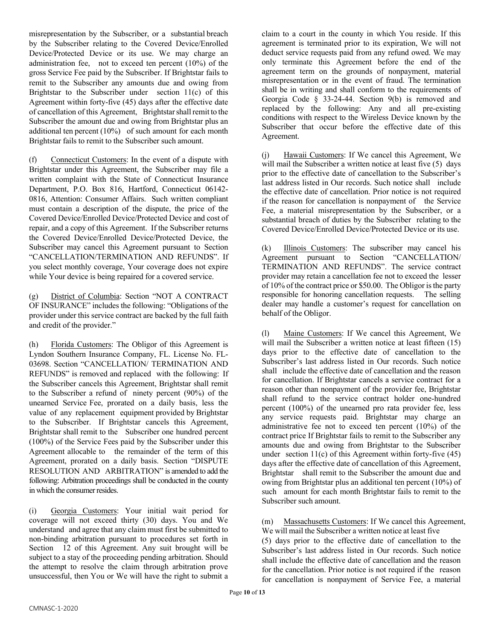misrepresentation by the Subscriber, or a substantial breach by the Subscriber relating to the Covered Device/Enrolled Device/Protected Device or its use. We may charge an administration fee, not to exceed ten percent (10%) of the gross Service Fee paid by the Subscriber. If Brightstar fails to remit to the Subscriber any amounts due and owing from Brightstar to the Subscriber under section 11(c) of this Agreement within forty-five (45) days after the effective date of cancellation of this Agreement, Brightstar shall remit to the Subscriber the amount due and owing from Brightstar plus an additional ten percent (10%) of such amount for each month Brightstar fails to remit to the Subscriber such amount.

(f) Connecticut Customers: In the event of a dispute with Brightstar under this Agreement, the Subscriber may file a written complaint with the State of Connecticut Insurance Department, P.O. Box 816, Hartford, Connecticut 06142- 0816, Attention: Consumer Affairs. Such written compliant must contain a description of the dispute, the price of the Covered Device/Enrolled Device/Protected Device and cost of repair, and a copy of this Agreement. If the Subscriber returns the Covered Device/Enrolled Device/Protected Device, the Subscriber may cancel this Agreement pursuant to Section "CANCELLATION/TERMINATION AND REFUNDS". If you select monthly coverage, Your coverage does not expire while Your device is being repaired for a covered service.

(g) District of Columbia: Section "NOT A CONTRACT OF INSURANCE" includes the following: "Obligations of the provider under this service contract are backed by the full faith and credit of the provider."

(h) Florida Customers: The Obligor of this Agreement is Lyndon Southern Insurance Company, FL. License No. FL-03698. Section "CANCELLATION/ TERMINATION AND REFUNDS" is removed and replaced with the following: If the Subscriber cancels this Agreement, Brightstar shall remit to the Subscriber a refund of ninety percent (90%) of the unearned Service Fee, prorated on a daily basis, less the value of any replacement equipment provided by Brightstar to the Subscriber. If Brightstar cancels this Agreement, Brightstar shall remit to the Subscriber one hundred percent (100%) of the Service Fees paid by the Subscriber under this Agreement allocable to the remainder of the term of this Agreement, prorated on a daily basis. Section "DISPUTE RESOLUTION AND ARBITRATION" is amended to add the following: Arbitration proceedings shall be conducted in the county in which the consumer resides.

(i) Georgia Customers: Your initial wait period for coverage will not exceed thirty (30) days. You and We understand and agree that any claim must first be submitted to non-binding arbitration pursuant to procedures set forth in Section 12 of this Agreement. Any suit brought will be subject to a stay of the proceeding pending arbitration. Should the attempt to resolve the claim through arbitration prove unsuccessful, then You or We will have the right to submit a

claim to a court in the county in which You reside. If this agreement is terminated prior to its expiration, We will not deduct service requests paid from any refund owed. We may only terminate this Agreement before the end of the agreement term on the grounds of nonpayment, material misrepresentation or in the event of fraud. The termination shall be in writing and shall conform to the requirements of Georgia Code  $\frac{1}{2}$  33-24-44. Section 9(b) is removed and replaced by the following: Any and all pre-existing conditions with respect to the Wireless Device known by the Subscriber that occur before the effective date of this Agreement.

(j) Hawaii Customers: If We cancel this Agreement, We will mail the Subscriber a written notice at least five (5) days prior to the effective date of cancellation to the Subscriber's last address listed in Our records. Such notice shall include the effective date of cancellation. Prior notice is not required if the reason for cancellation is nonpayment of the Service Fee, a material misrepresentation by the Subscriber, or a substantial breach of duties by the Subscriber relating to the Covered Device/Enrolled Device/Protected Device or its use.

(k) Illinois Customers: The subscriber may cancel his Agreement pursuant to Section "CANCELLATION/ TERMINATION AND REFUNDS". The service contract provider may retain a cancellation fee not to exceed the lesser of 10% of the contract price or \$50.00. The Obligor isthe party responsible for honoring cancellation requests. The selling dealer may handle a customer's request for cancellation on behalf of the Obligor.

(l) Maine Customers: If We cancel this Agreement, We will mail the Subscriber a written notice at least fifteen (15) days prior to the effective date of cancellation to the Subscriber's last address listed in Our records. Such notice shall include the effective date of cancellation and the reason for cancellation. If Brightstar cancels a service contract for a reason other than nonpayment of the provider fee, Brightstar shall refund to the service contract holder one-hundred percent (100%) of the unearned pro rata provider fee, less any service requests paid. Brightstar may charge an administrative fee not to exceed ten percent (10%) of the contract price If Brightstar fails to remit to the Subscriber any amounts due and owing from Brightstar to the Subscriber under section  $11(c)$  of this Agreement within forty-five  $(45)$ days after the effective date of cancellation of this Agreement, Brightstar shall remit to the Subscriber the amount due and owing from Brightstar plus an additional ten percent (10%) of such amount for each month Brightstar fails to remit to the Subscriber such amount.

(m) Massachusetts Customers: If We cancel this Agreement, We will mail the Subscriber a written notice at least five

(5) days prior to the effective date of cancellation to the Subscriber's last address listed in Our records. Such notice shall include the effective date of cancellation and the reason for the cancellation. Prior notice is not required if the reason for cancellation is nonpayment of Service Fee, a material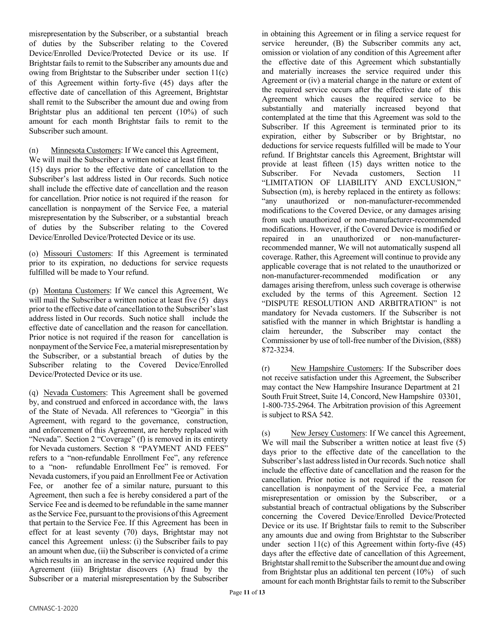misrepresentation by the Subscriber, or a substantial breach of duties by the Subscriber relating to the Covered Device/Enrolled Device/Protected Device or its use. If Brightstar fails to remit to the Subscriber any amounts due and owing from Brightstar to the Subscriber under section 11(c) of this Agreement within forty-five (45) days after the effective date of cancellation of this Agreement, Brightstar shall remit to the Subscriber the amount due and owing from Brightstar plus an additional ten percent (10%) of such amount for each month Brightstar fails to remit to the Subscriber such amount.

(n) Minnesota Customers: If We cancel this Agreement,

We will mail the Subscriber a written notice at least fifteen (15) days prior to the effective date of cancellation to the Subscriber's last address listed in Our records. Such notice shall include the effective date of cancellation and the reason for cancellation. Prior notice is not required if the reason for cancellation is nonpayment of the Service Fee, a material misrepresentation by the Subscriber, or a substantial breach of duties by the Subscriber relating to the Covered Device/Enrolled Device/Protected Device or its use.

(o) Missouri Customers: If this Agreement is terminated prior to its expiration, no deductions for service requests fulfilled will be made to Your refund.

(p) Montana Customers: If We cancel this Agreement, We will mail the Subscriber a written notice at least five (5) days prior to the effective date of cancellation to the Subscriber's last address listed in Our records. Such notice shall include the effective date of cancellation and the reason for cancellation. Prior notice is not required if the reason for cancellation is nonpayment of the Service Fee, a material misrepresentation by the Subscriber, or a substantial breach of duties by the Subscriber relating to the Covered Device/Enrolled Device/Protected Device or its use.

(q) Nevada Customers: This Agreement shall be governed by, and construed and enforced in accordance with, the laws of the State of Nevada. All references to "Georgia" in this Agreement, with regard to the governance, construction, and enforcement of this Agreement, are hereby replaced with "Nevada". Section 2 "Coverage" (f) is removed in its entirety for Nevada customers. Section 8 "PAYMENT AND FEES" refers to a "non-refundable Enrollment Fee", any reference to a "non- refundable Enrollment Fee" is removed. For Nevada customers, if you paid an Enrollment Fee or Activation Fee, or another fee of a similar nature, pursuant to this Agreement, then such a fee is hereby considered a part of the Service Fee and is deemed to be refundable in the same manner asthe Service Fee, pursuant to the provisions ofthis Agreement that pertain to the Service Fee. If this Agreement has been in effect for at least seventy (70) days, Brightstar may not cancel this Agreement unless: (i) the Subscriber fails to pay an amount when due, (ii) the Subscriber is convicted of a crime which results in an increase in the service required under this Agreement (iii) Brightstar discovers (A) fraud by the Subscriber or a material misrepresentation by the Subscriber

in obtaining this Agreement or in filing a service request for service hereunder, (B) the Subscriber commits any act, omission or violation of any condition of this Agreement after the effective date of this Agreement which substantially and materially increases the service required under this Agreement or (iv) a material change in the nature or extent of the required service occurs after the effective date of this Agreement which causes the required service to be substantially and materially increased beyond that contemplated at the time that this Agreement was sold to the Subscriber. If this Agreement is terminated prior to its expiration, either by Subscriber or by Brightstar, no deductions for service requests fulfilled will be made to Your refund. If Brightstar cancels this Agreement, Brightstar will provide at least fifteen (15) days written notice to the Subscriber. For Nevada customers, Section 11 "LIMITATION OF LIABILITY AND EXCLUSION," Subsection (m), is hereby replaced in the entirety as follows: "any unauthorized or non-manufacturer-recommended modifications to the Covered Device, or any damages arising from such unauthorized or non-manufacturer-recommended modifications. However, if the Covered Device is modified or repaired in an unauthorized or non-manufacturerrecommended manner, We will not automatically suspend all coverage. Rather, this Agreement will continue to provide any applicable coverage that is not related to the unauthorized or non-manufacturer-recommended modification or any damages arising therefrom, unless such coverage is otherwise excluded by the terms of this Agreement. Section 12 "DISPUTE RESOLUTION AND ARBITRATION" is not mandatory for Nevada customers. If the Subscriber is not satisfied with the manner in which Brightstar is handling a claim hereunder, the Subscriber may contact the Commissioner by use of toll-free number of the Division, (888) 872-3234.

(r) New Hampshire Customers: If the Subscriber does not receive satisfaction under this Agreement, the Subscriber may contact the New Hampshire Insurance Department at 21 South Fruit Street, Suite 14, Concord, New Hampshire 03301, 1-800-735-2964. The Arbitration provision of this Agreement is subject to RSA 542.

(s) New Jersey Customers: If We cancel this Agreement, We will mail the Subscriber a written notice at least five (5) days prior to the effective date of the cancellation to the Subscriber's last address listed in Our records. Such notice shall include the effective date of cancellation and the reason for the cancellation. Prior notice is not required if the reason for cancellation is nonpayment of the Service Fee, a material misrepresentation or omission by the Subscriber, or a substantial breach of contractual obligations by the Subscriber concerning the Covered Device/Enrolled Device/Protected Device or its use. If Brightstar fails to remit to the Subscriber any amounts due and owing from Brightstar to the Subscriber under section  $11(c)$  of this Agreement within forty-five  $(45)$ days after the effective date of cancellation of this Agreement, Brightstar shall remit to the Subscriber the amount due and owing from Brightstar plus an additional ten percent (10%) of such amount for each month Brightstar fails to remit to the Subscriber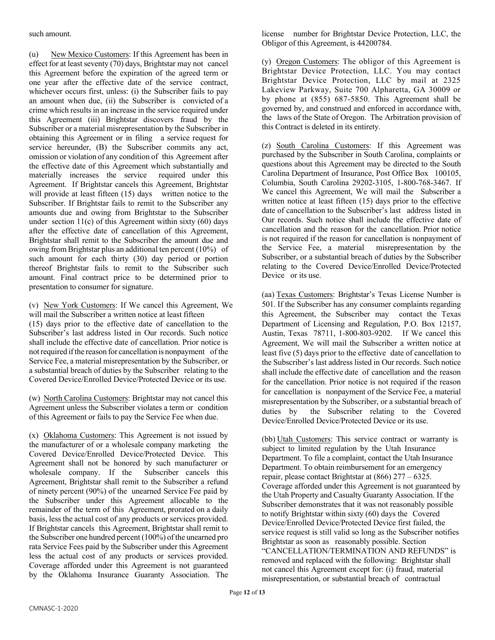(u) New Mexico Customers: If this Agreement has been in effect for at least seventy (70) days, Brightstar may not cancel this Agreement before the expiration of the agreed term or one year after the effective date of the service contract, whichever occurs first, unless: (i) the Subscriber fails to pay an amount when due, (ii) the Subscriber is convicted of a crime which results in an increase in the service required under this Agreement (iii) Brightstar discovers fraud by the Subscriber or a material misrepresentation by the Subscriber in obtaining this Agreement or in filing a service request for service hereunder, (B) the Subscriber commits any act, omission or violation of any condition of this Agreement after the effective date of this Agreement which substantially and materially increases the service required under this Agreement. If Brightstar cancels this Agreement, Brightstar will provide at least fifteen (15) days written notice to the Subscriber. If Brightstar fails to remit to the Subscriber any amounts due and owing from Brightstar to the Subscriber under section  $11(c)$  of this Agreement within sixty (60) days after the effective date of cancellation of this Agreement, Brightstar shall remit to the Subscriber the amount due and owing from Brightstar plus an additional ten percent (10%) of such amount for each thirty (30) day period or portion thereof Brightstar fails to remit to the Subscriber such amount. Final contract price to be determined prior to presentation to consumer for signature.

(v) New York Customers: If We cancel this Agreement, We will mail the Subscriber a written notice at least fifteen (15) days prior to the effective date of cancellation to the Subscriber's last address listed in Our records. Such notice shall include the effective date of cancellation. Prior notice is notrequired ifthe reason for cancellation is nonpayment of the Service Fee, a material misrepresentation by the Subscriber, or a substantial breach of duties by the Subscriber relating to the Covered Device/Enrolled Device/Protected Device or its use.

(w) North Carolina Customers: Brightstar may not cancel this Agreement unless the Subscriber violates a term or condition of this Agreement or fails to pay the Service Fee when due.

(x) Oklahoma Customers: This Agreement is not issued by the manufacturer of or a wholesale company marketing the Covered Device/Enrolled Device/Protected Device. This Agreement shall not be honored by such manufacturer or wholesale company. If the Subscriber cancels this Agreement, Brightstar shall remit to the Subscriber a refund of ninety percent (90%) of the unearned Service Fee paid by the Subscriber under this Agreement allocable to the remainder of the term of this Agreement, prorated on a daily basis, less the actual cost of any products or services provided. If Brightstar cancels this Agreement, Brightstar shall remit to the Subscriber one hundred percent (100%) of the unearned pro rata Service Fees paid by the Subscriber under this Agreement less the actual cost of any products or services provided. Coverage afforded under this Agreement is not guaranteed by the Oklahoma Insurance Guaranty Association. The

license number for Brightstar Device Protection, LLC, the Obligor of this Agreement, is 44200784.

(y) Oregon Customers: The obligor of this Agreement is Brightstar Device Protection, LLC. You may contact Brightstar Device Protection, LLC by mail at 2325 Lakeview Parkway, Suite 700 Alpharetta, GA 30009 or by phone at (855) 687-5850. This Agreement shall be governed by, and construed and enforced in accordance with, the laws of the State of Oregon. The Arbitration provision of this Contract is deleted in its entirety.

(z) South Carolina Customers: If this Agreement was purchased by the Subscriber in South Carolina, complaints or questions about this Agreement may be directed to the South Carolina Department of Insurance, Post Office Box 100105, Columbia, South Carolina 29202-3105, 1-800-768-3467. If We cancel this Agreement, We will mail the Subscriber a written notice at least fifteen (15) days prior to the effective date of cancellation to the Subscriber's last address listed in Our records. Such notice shall include the effective date of cancellation and the reason for the cancellation. Prior notice is not required if the reason for cancellation is nonpayment of the Service Fee, a material misrepresentation by the Subscriber, or a substantial breach of duties by the Subscriber relating to the Covered Device/Enrolled Device/Protected Device or its use.

(aa) Texas Customers: Brightstar's Texas License Number is 501. If the Subscriber has any consumer complaints regarding this Agreement, the Subscriber may contact the Texas Department of Licensing and Regulation, P.O. Box 12157, Austin, Texas 78711, 1-800-803-9202. If We cancel this Agreement, We will mail the Subscriber a written notice at least five (5) days prior to the effective date of cancellation to the Subscriber's last address listed in Our records. Such notice shall include the effective date of cancellation and the reason for the cancellation. Prior notice is not required if the reason for cancellation is nonpayment of the Service Fee, a material misrepresentation by the Subscriber, or a substantial breach of duties by the Subscriber relating to the Covered Device/Enrolled Device/Protected Device or its use.

(bb) Utah Customers: This service contract or warranty is subject to limited regulation by the Utah Insurance Department. To file a complaint, contact the Utah Insurance Department. To obtain reimbursement for an emergency repair, please contact Brightstar at (866) 277 – 6325. Coverage afforded under this Agreement is not guaranteed by the Utah Property and Casualty Guaranty Association. If the Subscriber demonstrates that it was not reasonably possible to notify Brightstar within sixty (60) days the Covered Device/Enrolled Device/Protected Device first failed, the service request is still valid so long as the Subscriber notifies Brightstar as soon as reasonably possible. Section "CANCELLATION/TERMINATION AND REFUNDS" is removed and replaced with the following: Brightstar shall not cancel this Agreement except for: (i) fraud, material misrepresentation, or substantial breach of contractual